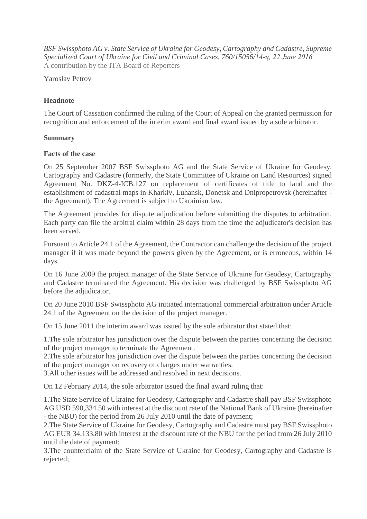*BSF Swissphoto AG v. State Service of Ukraine for Geodesy, Cartography and Cadastre, Supreme Specialized Court of Ukraine for Civil and Criminal Cases, 760/15056/14-ц, 22 June 2016* A contribution by the ITA Board of Reporters

Yaroslav Petrov

# **Headnote**

The Court of Cassation confirmed the ruling of the Court of Appeal on the granted permission for recognition and enforcement of the interim award and final award issued by a sole arbitrator.

## **Summary**

### **Facts of the case**

On 25 September 2007 BSF Swissphoto AG and the State Service of Ukraine for Geodesy, Cartography and Cadastre (formerly, the State Committee of Ukraine on Land Resources) signed Agreement No. DKZ-4-ICB.127 on replacement of certificates of title to land and the establishment of cadastral maps in Kharkiv, Luhansk, Donetsk and Dnipropetrovsk (hereinafter the Agreement). The Agreement is subject to Ukrainian law.

The Agreement provides for dispute adjudication before submitting the disputes to arbitration. Each party can file the arbitral claim within 28 days from the time the adjudicator's decision has been served.

Pursuant to Article 24.1 of the Agreement, the Contractor can challenge the decision of the project manager if it was made beyond the powers given by the Agreement, or is erroneous, within 14 days.

On 16 June 2009 the project manager of the State Service of Ukraine for Geodesy, Cartography and Cadastre terminated the Agreement. His decision was challenged by BSF Swissphoto AG before the adjudicator.

On 20 June 2010 BSF Swissphoto AG initiated international commercial arbitration under Article 24.1 of the Agreement on the decision of the project manager.

On 15 June 2011 the interim award was issued by the sole arbitrator that stated that:

1.The sole arbitrator has jurisdiction over the dispute between the parties concerning the decision of the project manager to terminate the Agreement.

2.The sole arbitrator has jurisdiction over the dispute between the parties concerning the decision of the project manager on recovery of charges under warranties.

3.All other issues will be addressed and resolved in next decisions.

On 12 February 2014, the sole arbitrator issued the final award ruling that:

1.The State Service of Ukraine for Geodesy, Cartography and Cadastre shall pay BSF Swissphoto AG USD 590,334.50 with interest at the discount rate of the National Bank of Ukraine (hereinafter - the NBU) for the period from 26 July 2010 until the date of payment;

2.The State Service of Ukraine for Geodesy, Cartography and Cadastre must pay BSF Swissphoto AG EUR 34,133.80 with interest at the discount rate of the NBU for the period from 26 July 2010 until the date of payment;

3.The counterclaim of the State Service of Ukraine for Geodesy, Cartography and Cadastre is rejected;